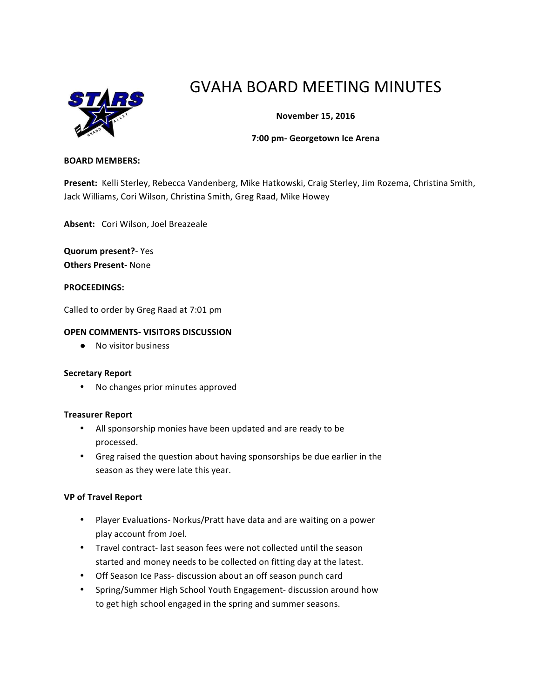

# GVAHA BOARD MEETING MINUTES

# **November 15, 2016**

#### **7:00 pm- Georgetown Ice Arena**

#### **BOARD MEMBERS:**

Present: Kelli Sterley, Rebecca Vandenberg, Mike Hatkowski, Craig Sterley, Jim Rozema, Christina Smith, Jack Williams, Cori Wilson, Christina Smith, Greg Raad, Mike Howey

Absent: Cori Wilson, Joel Breazeale

**Quorum present?**- Yes **Others Present-** None

**PROCEEDINGS:**

Called to order by Greg Raad at 7:01 pm

#### **OPEN COMMENTS- VISITORS DISCUSSION**

● No visitor business

#### **Secretary Report**

• No changes prior minutes approved

#### **Treasurer Report**

- All sponsorship monies have been updated and are ready to be processed.
- Greg raised the question about having sponsorships be due earlier in the season as they were late this year.

## **VP of Travel Report**

- Player Evaluations- Norkus/Pratt have data and are waiting on a power play account from Joel.
- Travel contract- last season fees were not collected until the season started and money needs to be collected on fitting day at the latest.
- Off Season Ice Pass- discussion about an off season punch card
- Spring/Summer High School Youth Engagement- discussion around how to get high school engaged in the spring and summer seasons.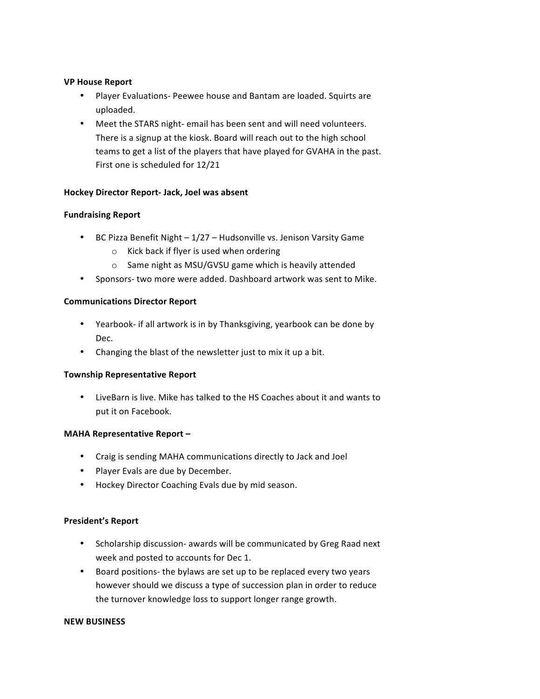## **VP House Report**

- Player Evaluations- Peewee house and Bantam are loaded. Squirts are uploaded.
- Meet the STARS night- email has been sent and will need volunteers. There is a signup at the kiosk. Board will reach out to the high school teams to get a list of the players that have played for GVAHA in the past. First one is scheduled for 12/21

# **Hockey Director Report- Jack, Joel was absent**

# **Fundraising Report**

- BC Pizza Benefit Night  $1/27 -$  Hudsonville vs. Jenison Varsity Game
	- $\circ$  Kick back if flyer is used when ordering
	- $\circ$  Same night as MSU/GVSU game which is heavily attended
- Sponsors- two more were added. Dashboard artwork was sent to Mike.

## **Communications Director Report**

- Yearbook- if all artwork is in by Thanksgiving, yearbook can be done by Dec.
- Changing the blast of the newsletter just to mix it up a bit.

## **Township Representative Report**

• LiveBarn is live. Mike has talked to the HS Coaches about it and wants to put it on Facebook.

## **MAHA Representative Report -**

- Craig is sending MAHA communications directly to Jack and Joel
- Player Evals are due by December.
- Hockey Director Coaching Evals due by mid season.

## **President's Report**

- Scholarship discussion- awards will be communicated by Greg Raad next week and posted to accounts for Dec 1.
- Board positions- the bylaws are set up to be replaced every two years however should we discuss a type of succession plan in order to reduce the turnover knowledge loss to support longer range growth.

#### **NEW BUSINESS**